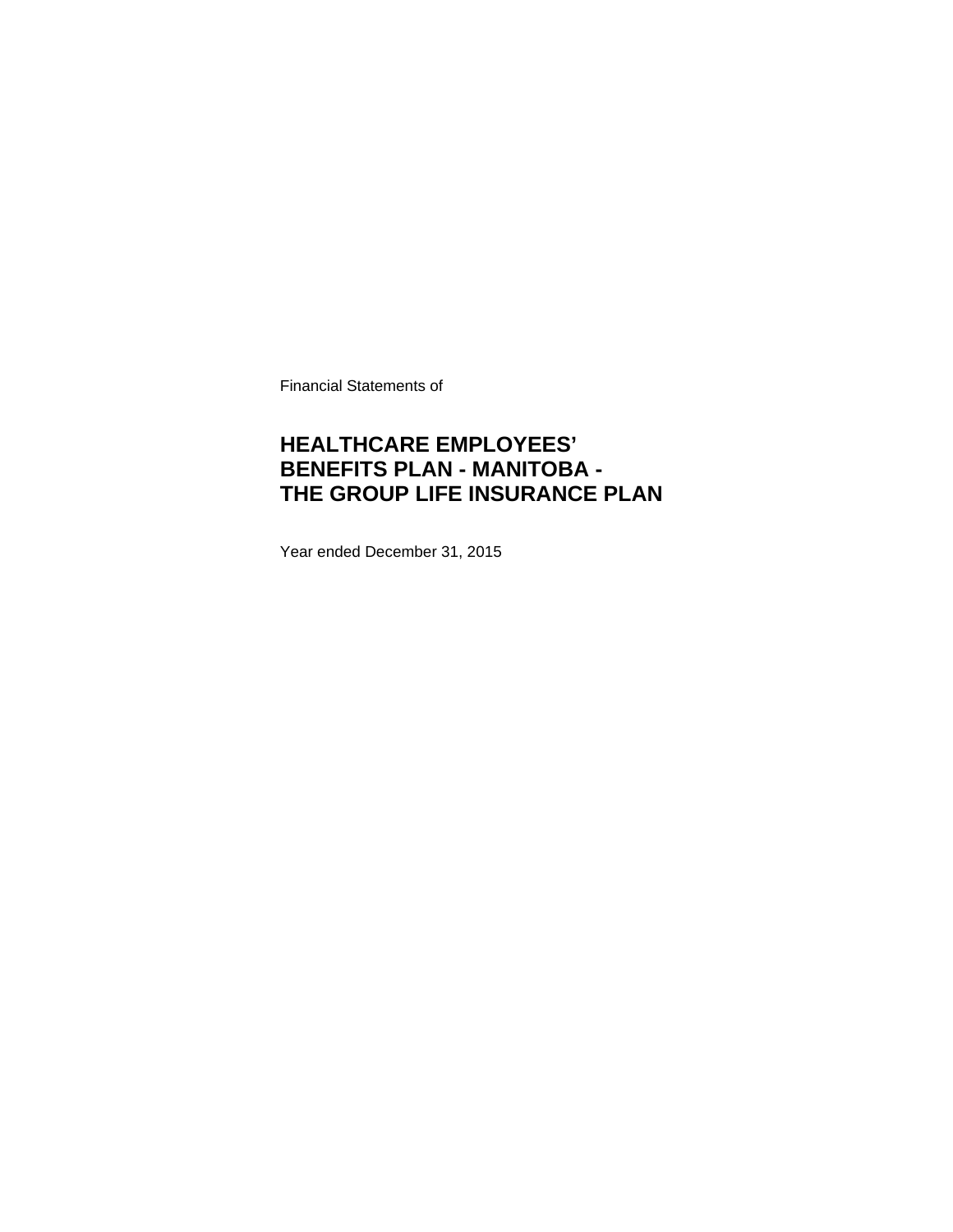Financial Statements of

## **HEALTHCARE EMPLOYEES' BENEFITS PLAN - MANITOBA - THE GROUP LIFE INSURANCE PLAN**

Year ended December 31, 2015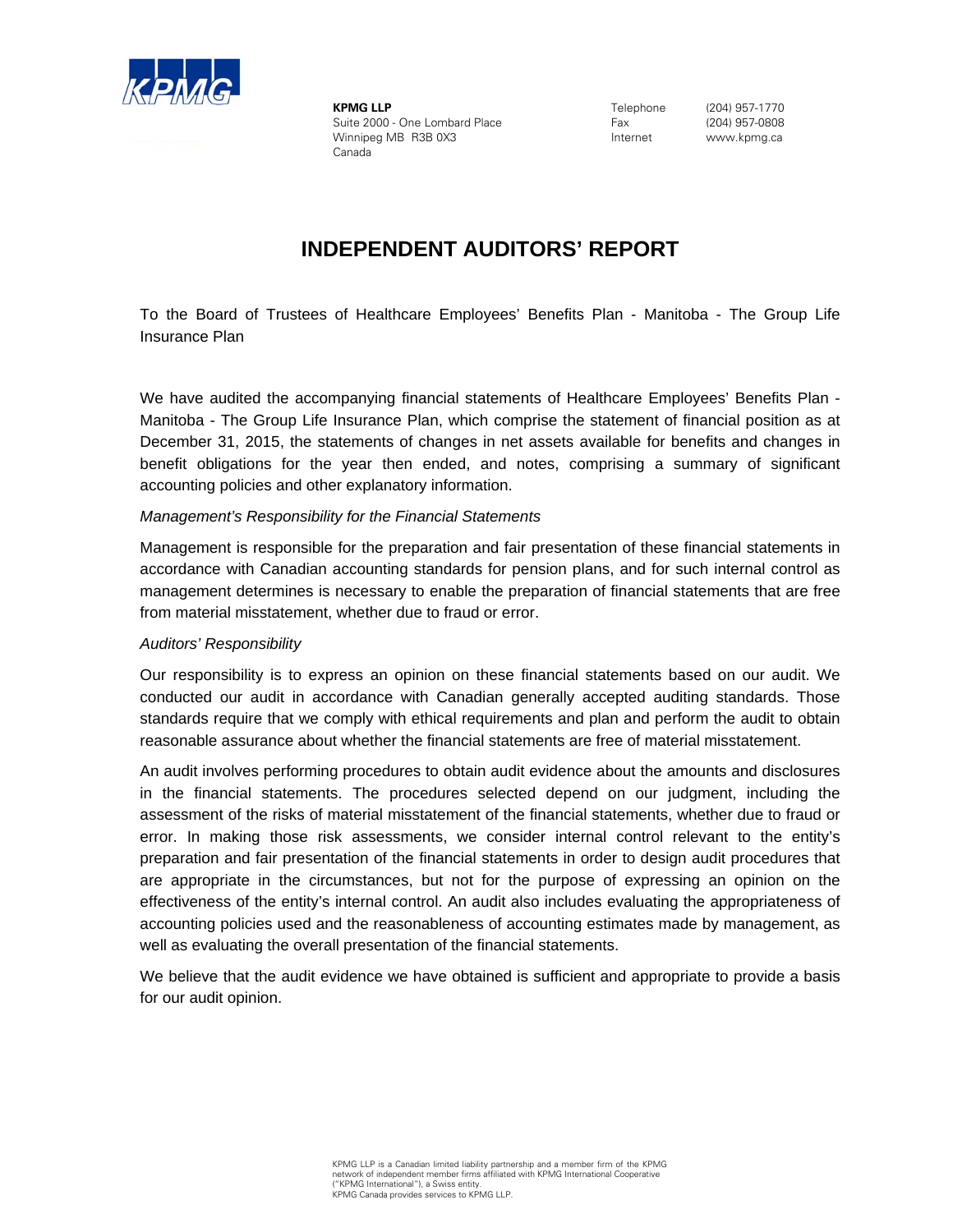

**KPMG LLP** Suite 2000 - One Lombard Place Winnipeg MB R3B 0X3 Canada

Telephone Fax Internet

(204) 957-1770 (204) 957-0808 www.kpmg.ca

## **INDEPENDENT AUDITORS' REPORT**

To the Board of Trustees of Healthcare Employees' Benefits Plan - Manitoba - The Group Life Insurance Plan

We have audited the accompanying financial statements of Healthcare Employees' Benefits Plan - Manitoba - The Group Life Insurance Plan, which comprise the statement of financial position as at December 31, 2015, the statements of changes in net assets available for benefits and changes in benefit obligations for the year then ended, and notes, comprising a summary of significant accounting policies and other explanatory information.

### *Management's Responsibility for the Financial Statements*

Management is responsible for the preparation and fair presentation of these financial statements in accordance with Canadian accounting standards for pension plans, and for such internal control as management determines is necessary to enable the preparation of financial statements that are free from material misstatement, whether due to fraud or error.

### *Auditors' Responsibility*

Our responsibility is to express an opinion on these financial statements based on our audit. We conducted our audit in accordance with Canadian generally accepted auditing standards. Those standards require that we comply with ethical requirements and plan and perform the audit to obtain reasonable assurance about whether the financial statements are free of material misstatement.

An audit involves performing procedures to obtain audit evidence about the amounts and disclosures in the financial statements. The procedures selected depend on our judgment, including the assessment of the risks of material misstatement of the financial statements, whether due to fraud or error. In making those risk assessments, we consider internal control relevant to the entity's preparation and fair presentation of the financial statements in order to design audit procedures that are appropriate in the circumstances, but not for the purpose of expressing an opinion on the effectiveness of the entity's internal control. An audit also includes evaluating the appropriateness of accounting policies used and the reasonableness of accounting estimates made by management, as well as evaluating the overall presentation of the financial statements.

We believe that the audit evidence we have obtained is sufficient and appropriate to provide a basis for our audit opinion.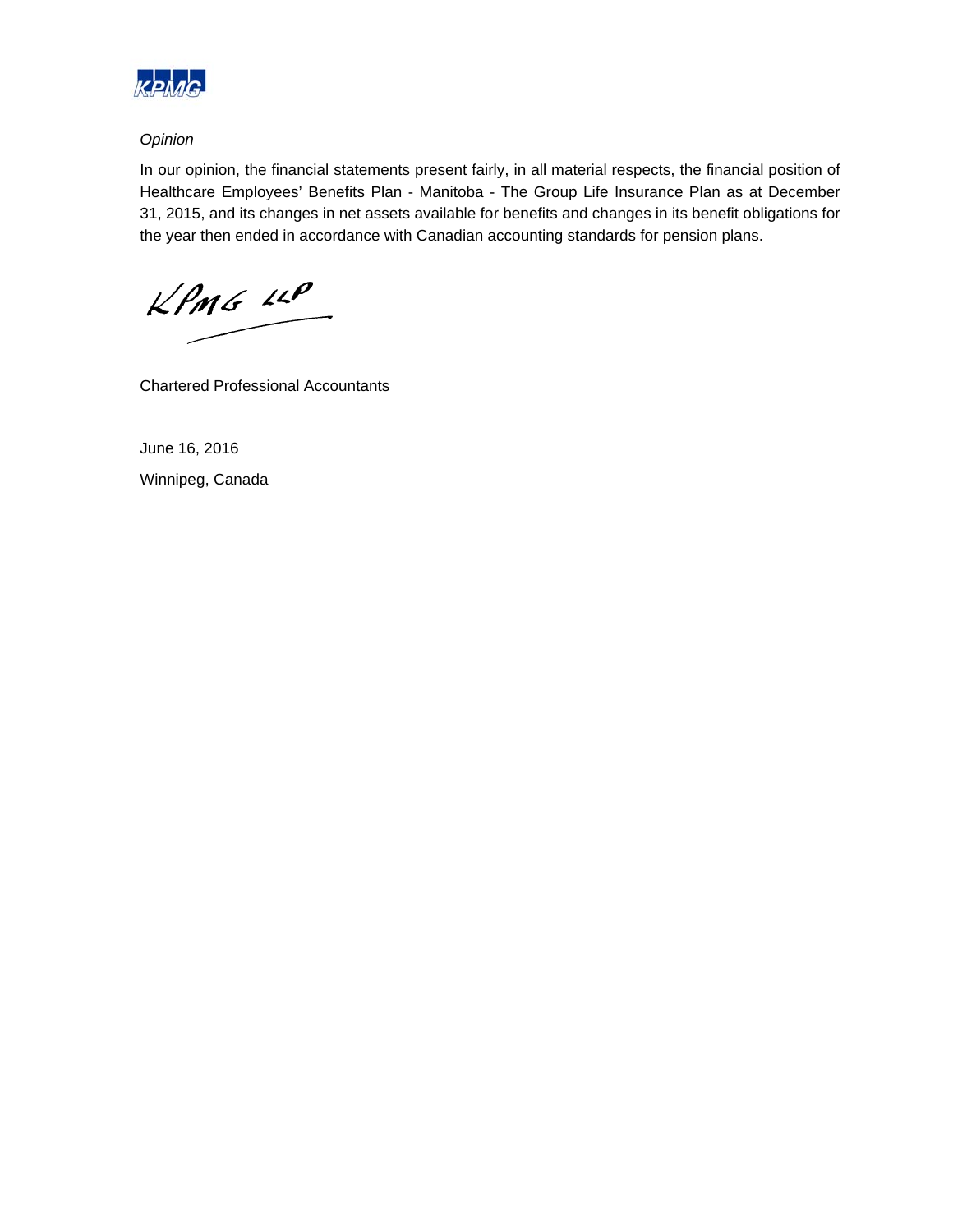

### *Opinion*

In our opinion, the financial statements present fairly, in all material respects, the financial position of Healthcare Employees' Benefits Plan - Manitoba - The Group Life Insurance Plan as at December 31, 2015, and its changes in net assets available for benefits and changes in its benefit obligations for the year then ended in accordance with Canadian accounting standards for pension plans.

 $kPMS$   $\mu P$ 

Chartered Professional Accountants

June 16, 2016 Winnipeg, Canada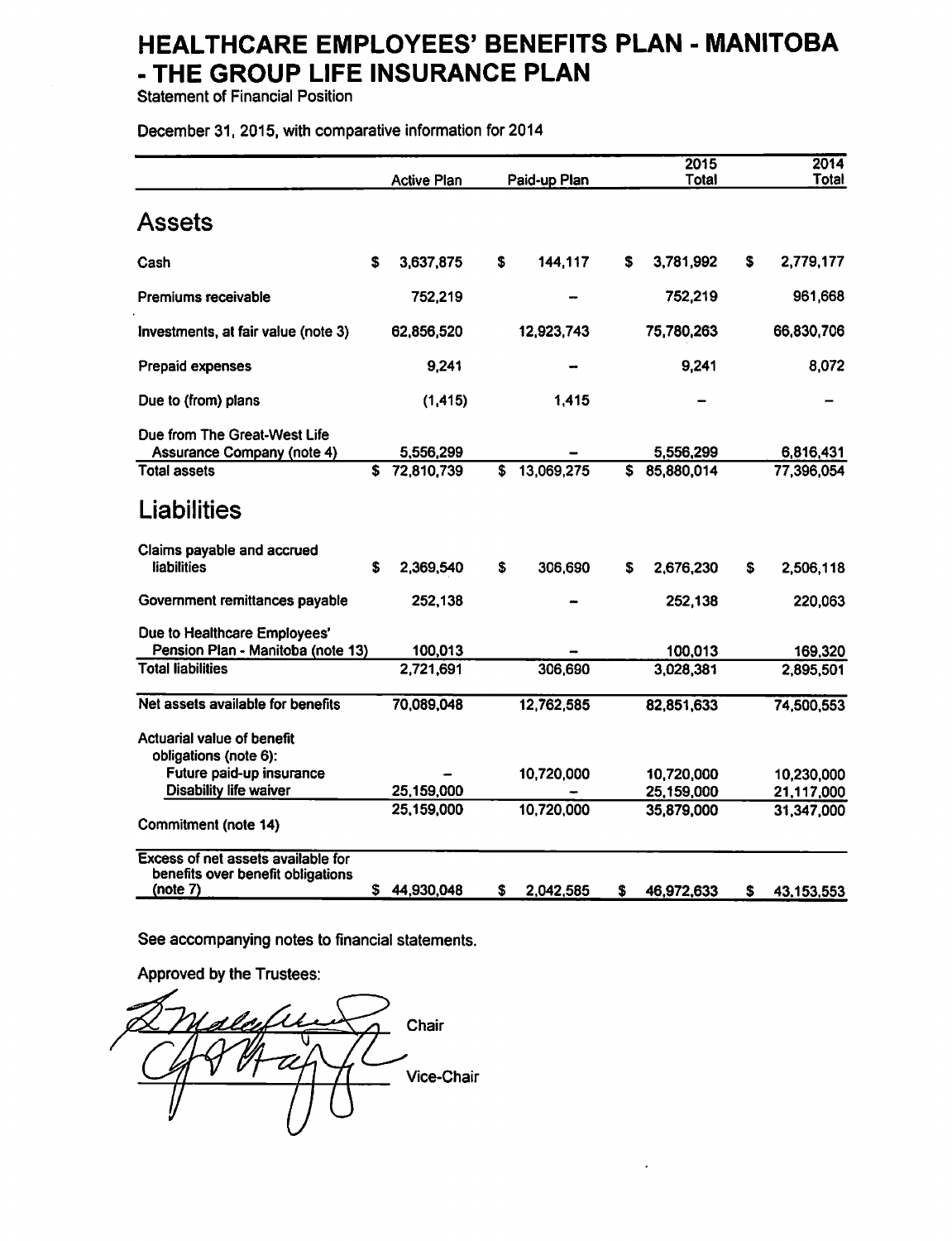Statement of Financial Position

December 31, 2015, with comparative information for 2014

|                                                                                     |    | <b>Active Plan</b> |    | Paid-up Plan |    | 2015<br>Total |    | 2014<br>Total |
|-------------------------------------------------------------------------------------|----|--------------------|----|--------------|----|---------------|----|---------------|
| Assets                                                                              |    |                    |    |              |    |               |    |               |
| Cash                                                                                | \$ | 3,637,875          | \$ | 144,117      | S. | 3,781,992     | S  | 2,779,177     |
| Premiums receivable                                                                 |    | 752,219            |    |              |    | 752,219       |    | 961,668       |
| Investments, at fair value (note 3)                                                 |    | 62,856,520         |    | 12,923,743   |    | 75,780,263    |    | 66,830,706    |
| Prepaid expenses                                                                    |    | 9,241              |    |              |    | 9,241         |    | 8,072         |
| Due to (from) plans                                                                 |    | (1, 415)           |    | 1.415        |    |               |    |               |
| Due from The Great-West Life<br><b>Assurance Company (note 4)</b>                   |    | 5,556,299          |    |              |    | 5,556,299     |    | 6,816,431     |
| <b>Total assets</b>                                                                 | S. | 72,810,739         | \$ | 13,069,275   | S. | 85,880,014    |    | 77,396,054    |
| Liabilities                                                                         |    |                    |    |              |    |               |    |               |
| Claims payable and accrued<br><b>liabilities</b>                                    | S  | 2,369,540          | s  | 306,690      | s  | 2,676,230     | s  | 2,506,118     |
| Government remittances payable                                                      |    | 252,138            |    |              |    | 252,138       |    | 220,063       |
| Due to Healthcare Employees'<br>Pension Plan - Manitoba (note 13)                   |    | 100,013            |    |              |    | 100,013       |    | 169,320       |
| <b>Total liabilities</b>                                                            |    | 2,721,691          |    | 306,690      |    | 3,028,381     |    | 2,895,501     |
| Net assets available for benefits                                                   |    | 70,089,048         |    | 12,762,585   |    | 82,851,633    |    | 74,500,553    |
| Actuarial value of benefit<br>obligations (note 6):                                 |    |                    |    |              |    |               |    |               |
| Future paid-up insurance                                                            |    |                    |    | 10,720,000   |    | 10,720,000    |    | 10,230,000    |
| <b>Disability life waiver</b>                                                       |    | 25,159,000         |    |              |    | 25,159,000    |    | 21,117,000    |
| Commitment (note 14)                                                                |    | 25,159,000         |    | 10,720,000   |    | 35,879,000    |    | 31,347,000    |
| Excess of net assets available for<br>benefits over benefit obligations<br>(note 7) |    | \$44,930,048       | \$ | 2,042,585    | S  | 46,972,633    | \$ | 43,153,553    |

See accompanying notes to financial statements.

Approved by the Trustees:

Chair  $\boldsymbol{\mathcal{U}}$ Vice-Chair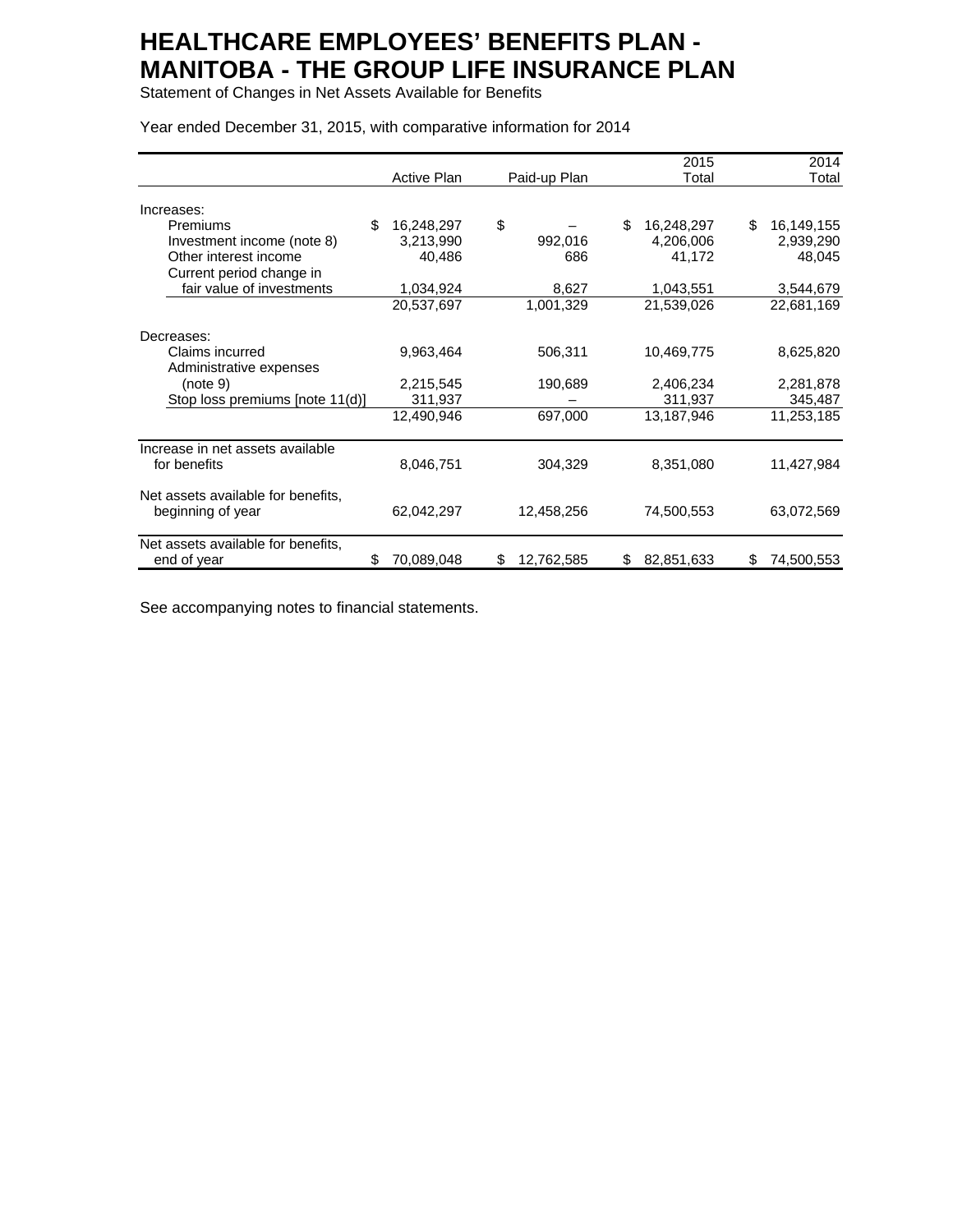Statement of Changes in Net Assets Available for Benefits

|                                    |             |                  | 2015             | 2014             |
|------------------------------------|-------------|------------------|------------------|------------------|
|                                    | Active Plan | Paid-up Plan     | Total            | Total            |
| Increases:                         |             |                  |                  |                  |
| \$<br>Premiums                     | 16,248,297  | \$               | \$<br>16,248,297 | \$<br>16,149,155 |
| Investment income (note 8)         | 3,213,990   | 992,016          | 4,206,006        | 2,939,290        |
| Other interest income              | 40,486      | 686              | 41,172           | 48,045           |
| Current period change in           |             |                  |                  |                  |
| fair value of investments          | 1,034,924   | 8,627            | 1,043,551        | 3,544,679        |
|                                    | 20,537,697  | 1,001,329        | 21,539,026       | 22,681,169       |
| Decreases:                         |             |                  |                  |                  |
| Claims incurred                    | 9,963,464   | 506,311          | 10,469,775       | 8,625,820        |
| Administrative expenses            |             |                  |                  |                  |
| (note 9)                           | 2,215,545   | 190,689          | 2,406,234        | 2,281,878        |
| Stop loss premiums [note 11(d)]    | 311,937     |                  | 311,937          | 345,487          |
|                                    | 12,490,946  | 697,000          | 13,187,946       | 11,253,185       |
| Increase in net assets available   |             |                  |                  |                  |
| for benefits                       | 8,046,751   | 304,329          | 8,351,080        | 11,427,984       |
| Net assets available for benefits, |             |                  |                  |                  |
| beginning of year                  | 62,042,297  | 12,458,256       | 74,500,553       | 63,072,569       |
| Net assets available for benefits, |             |                  |                  |                  |
| \$<br>end of year                  | 70,089,048  | \$<br>12,762,585 | 82,851,633<br>\$ | 74,500,553<br>\$ |

Year ended December 31, 2015, with comparative information for 2014

See accompanying notes to financial statements.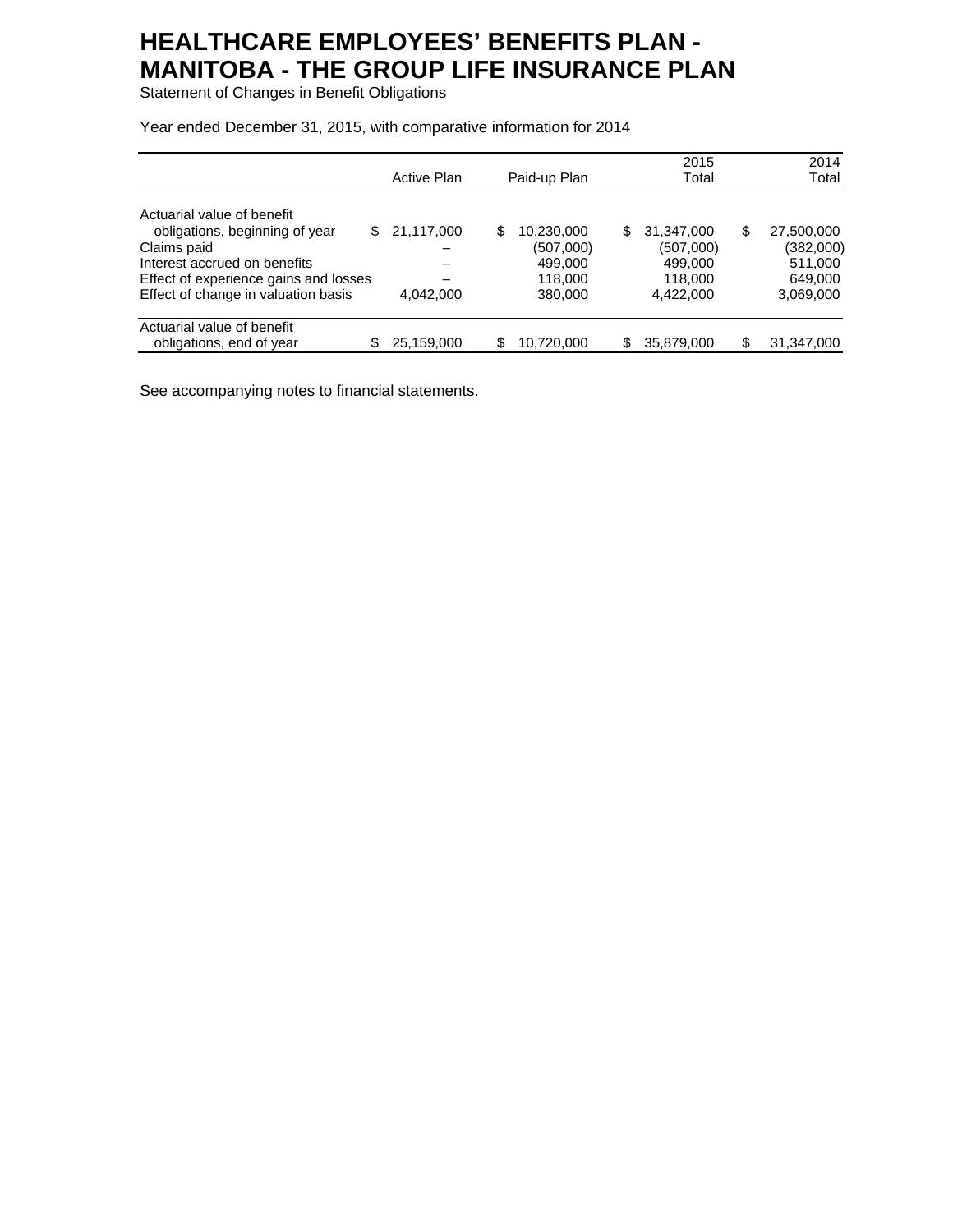Statement of Changes in Benefit Obligations

Year ended December 31, 2015, with comparative information for 2014

|                                       | Active Plan | Paid-up Plan     | 2015<br>Total     | 2014<br>Total    |
|---------------------------------------|-------------|------------------|-------------------|------------------|
| Actuarial value of benefit            |             |                  |                   |                  |
| obligations, beginning of year<br>S.  | 21,117,000  | \$<br>10,230,000 | \$.<br>31,347,000 | \$<br>27,500,000 |
| Claims paid                           |             | (507,000)        | (507,000)         | (382,000)        |
| Interest accrued on benefits          |             | 499,000          | 499,000           | 511,000          |
| Effect of experience gains and losses |             | 118,000          | 118,000           | 649,000          |
| Effect of change in valuation basis   | 4,042,000   | 380,000          | 4,422,000         | 3,069,000        |
| Actuarial value of benefit            |             |                  |                   |                  |
| obligations, end of year              | 25,159,000  | 10,720,000       | 35,879,000<br>\$  | 31,347,000       |

See accompanying notes to financial statements.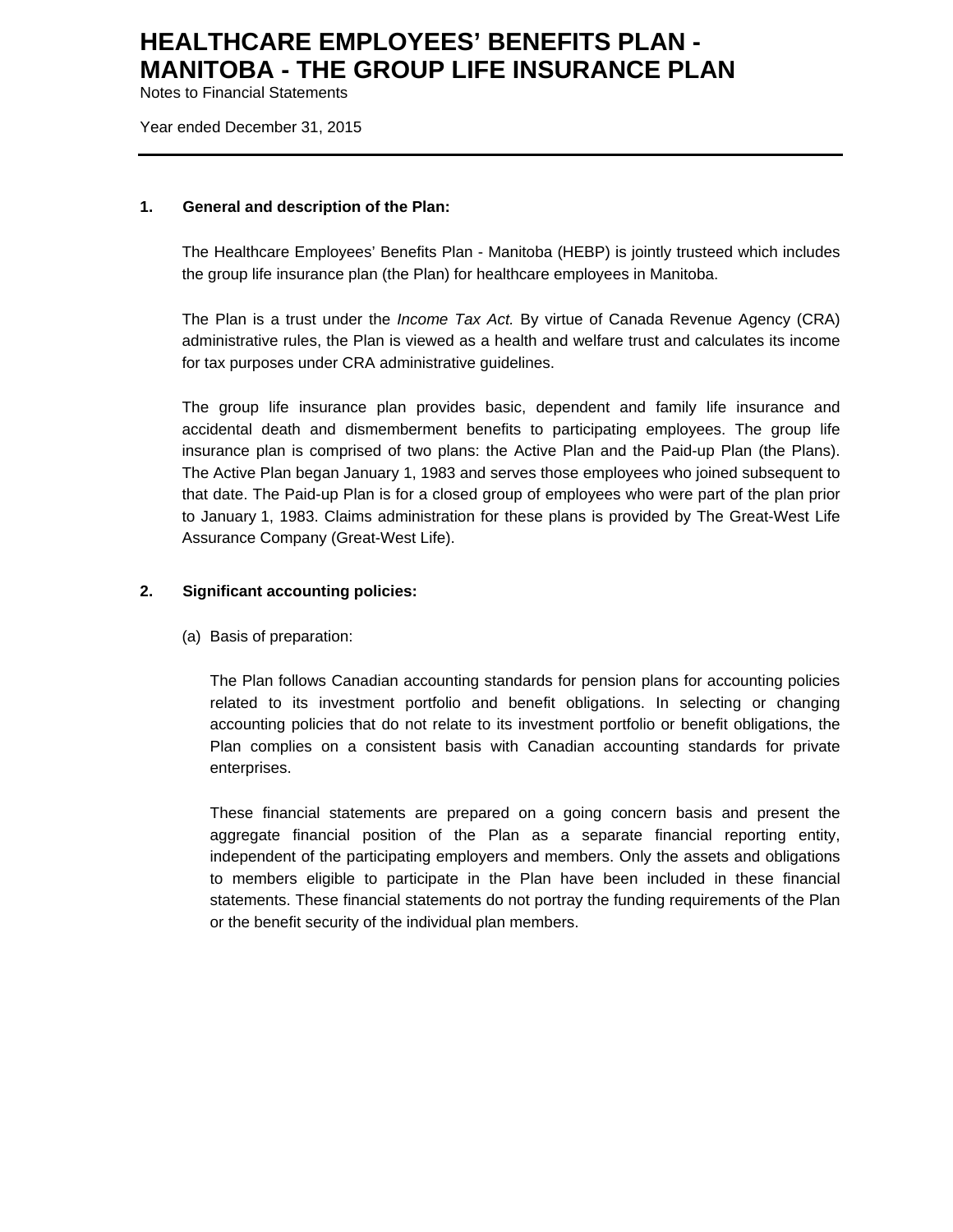Notes to Financial Statements

Year ended December 31, 2015

#### **1. General and description of the Plan:**

The Healthcare Employees' Benefits Plan - Manitoba (HEBP) is jointly trusteed which includes the group life insurance plan (the Plan) for healthcare employees in Manitoba.

The Plan is a trust under the *Income Tax Act.* By virtue of Canada Revenue Agency (CRA) administrative rules, the Plan is viewed as a health and welfare trust and calculates its income for tax purposes under CRA administrative guidelines.

The group life insurance plan provides basic, dependent and family life insurance and accidental death and dismemberment benefits to participating employees. The group life insurance plan is comprised of two plans: the Active Plan and the Paid-up Plan (the Plans). The Active Plan began January 1, 1983 and serves those employees who joined subsequent to that date. The Paid-up Plan is for a closed group of employees who were part of the plan prior to January 1, 1983. Claims administration for these plans is provided by The Great-West Life Assurance Company (Great-West Life).

### **2. Significant accounting policies:**

(a) Basis of preparation:

The Plan follows Canadian accounting standards for pension plans for accounting policies related to its investment portfolio and benefit obligations. In selecting or changing accounting policies that do not relate to its investment portfolio or benefit obligations, the Plan complies on a consistent basis with Canadian accounting standards for private enterprises.

These financial statements are prepared on a going concern basis and present the aggregate financial position of the Plan as a separate financial reporting entity, independent of the participating employers and members. Only the assets and obligations to members eligible to participate in the Plan have been included in these financial statements. These financial statements do not portray the funding requirements of the Plan or the benefit security of the individual plan members.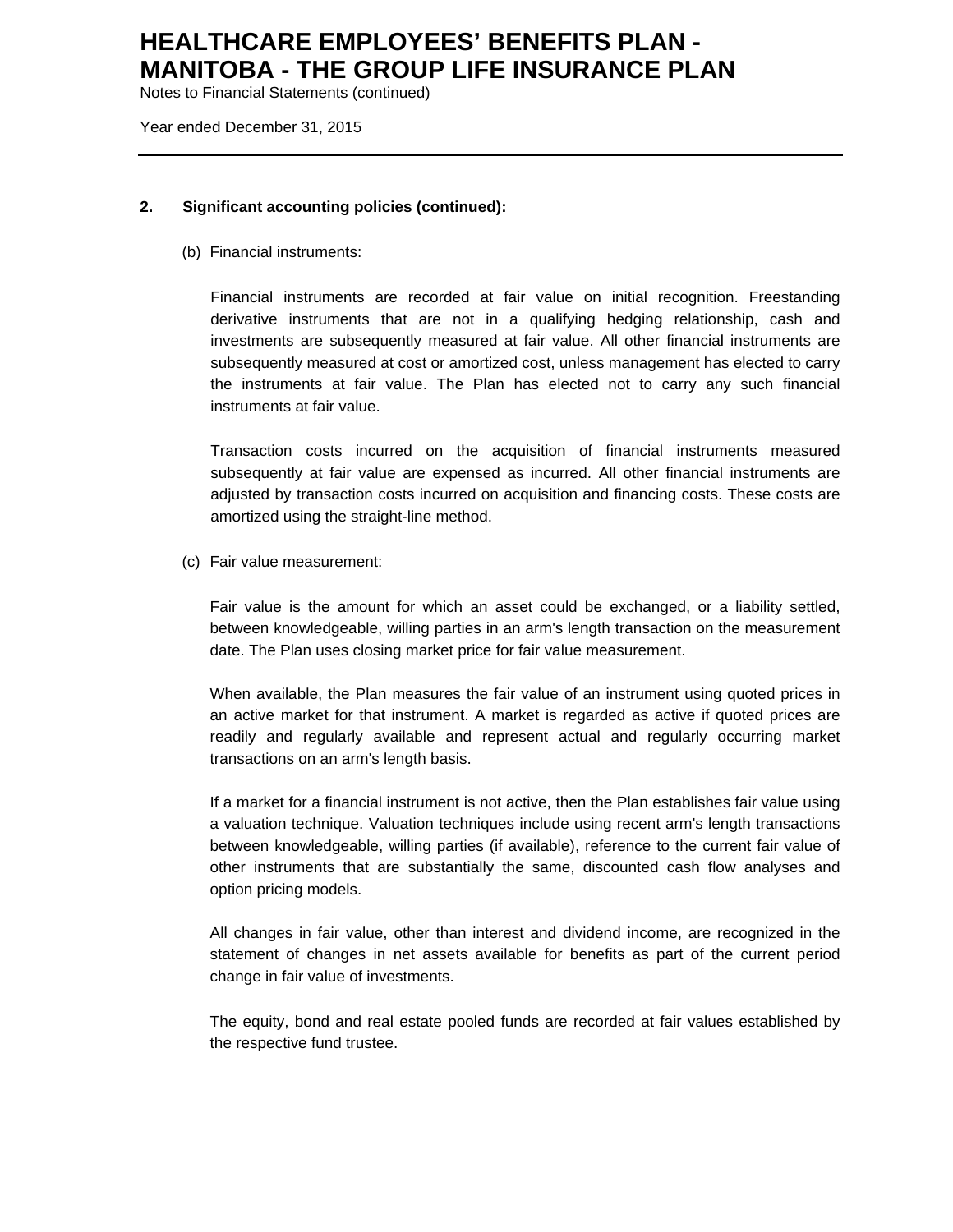Notes to Financial Statements (continued)

Year ended December 31, 2015

### **2. Significant accounting policies (continued):**

(b) Financial instruments:

Financial instruments are recorded at fair value on initial recognition. Freestanding derivative instruments that are not in a qualifying hedging relationship, cash and investments are subsequently measured at fair value. All other financial instruments are subsequently measured at cost or amortized cost, unless management has elected to carry the instruments at fair value. The Plan has elected not to carry any such financial instruments at fair value.

Transaction costs incurred on the acquisition of financial instruments measured subsequently at fair value are expensed as incurred. All other financial instruments are adjusted by transaction costs incurred on acquisition and financing costs. These costs are amortized using the straight-line method.

(c) Fair value measurement:

Fair value is the amount for which an asset could be exchanged, or a liability settled, between knowledgeable, willing parties in an arm's length transaction on the measurement date. The Plan uses closing market price for fair value measurement.

When available, the Plan measures the fair value of an instrument using quoted prices in an active market for that instrument. A market is regarded as active if quoted prices are readily and regularly available and represent actual and regularly occurring market transactions on an arm's length basis.

If a market for a financial instrument is not active, then the Plan establishes fair value using a valuation technique. Valuation techniques include using recent arm's length transactions between knowledgeable, willing parties (if available), reference to the current fair value of other instruments that are substantially the same, discounted cash flow analyses and option pricing models.

All changes in fair value, other than interest and dividend income, are recognized in the statement of changes in net assets available for benefits as part of the current period change in fair value of investments.

The equity, bond and real estate pooled funds are recorded at fair values established by the respective fund trustee.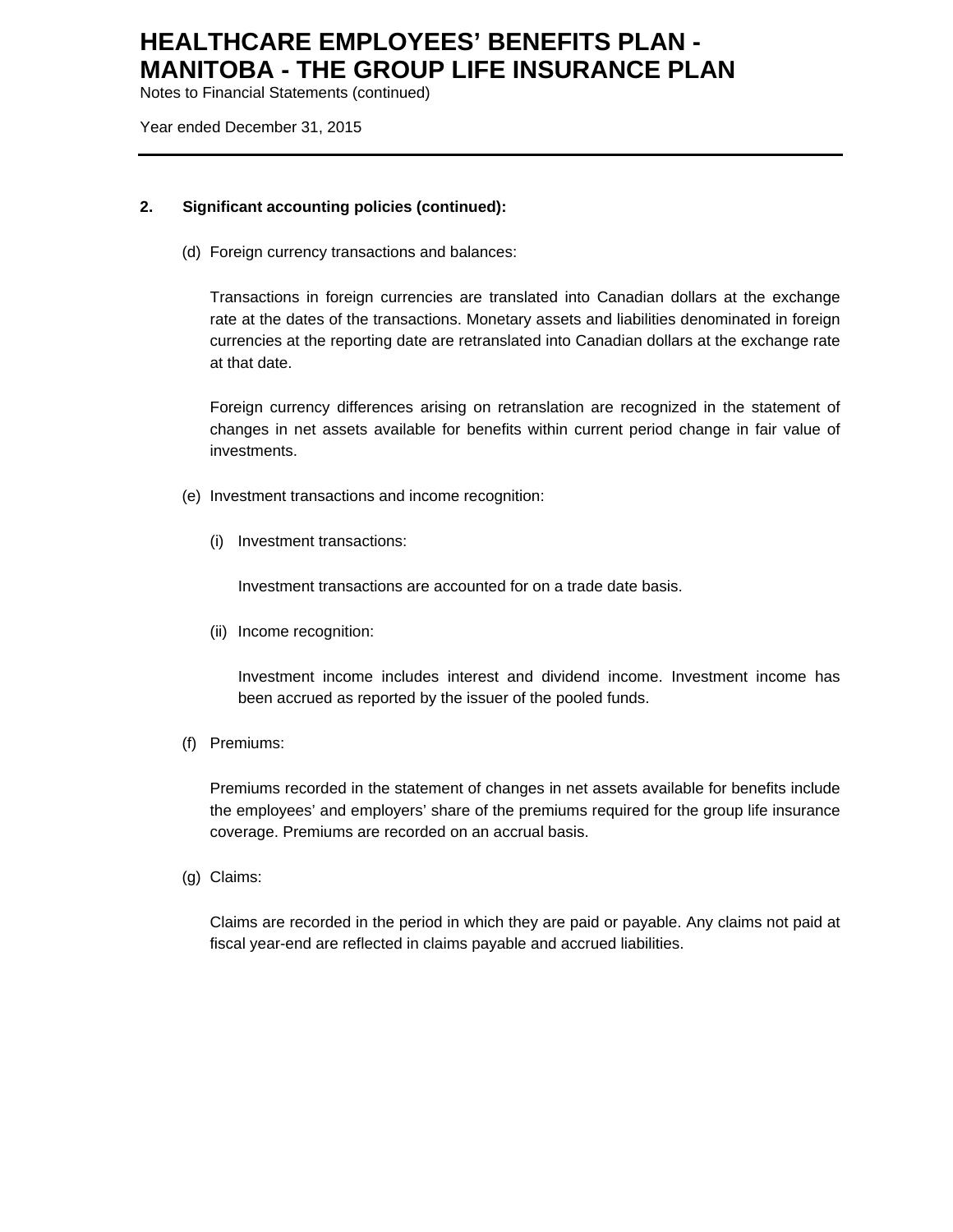Notes to Financial Statements (continued)

Year ended December 31, 2015

### **2. Significant accounting policies (continued):**

(d) Foreign currency transactions and balances:

Transactions in foreign currencies are translated into Canadian dollars at the exchange rate at the dates of the transactions. Monetary assets and liabilities denominated in foreign currencies at the reporting date are retranslated into Canadian dollars at the exchange rate at that date.

Foreign currency differences arising on retranslation are recognized in the statement of changes in net assets available for benefits within current period change in fair value of investments.

- (e) Investment transactions and income recognition:
	- (i) Investment transactions:

Investment transactions are accounted for on a trade date basis.

(ii) Income recognition:

Investment income includes interest and dividend income. Investment income has been accrued as reported by the issuer of the pooled funds.

(f) Premiums:

Premiums recorded in the statement of changes in net assets available for benefits include the employees' and employers' share of the premiums required for the group life insurance coverage. Premiums are recorded on an accrual basis.

(g) Claims:

 Claims are recorded in the period in which they are paid or payable. Any claims not paid at fiscal year-end are reflected in claims payable and accrued liabilities.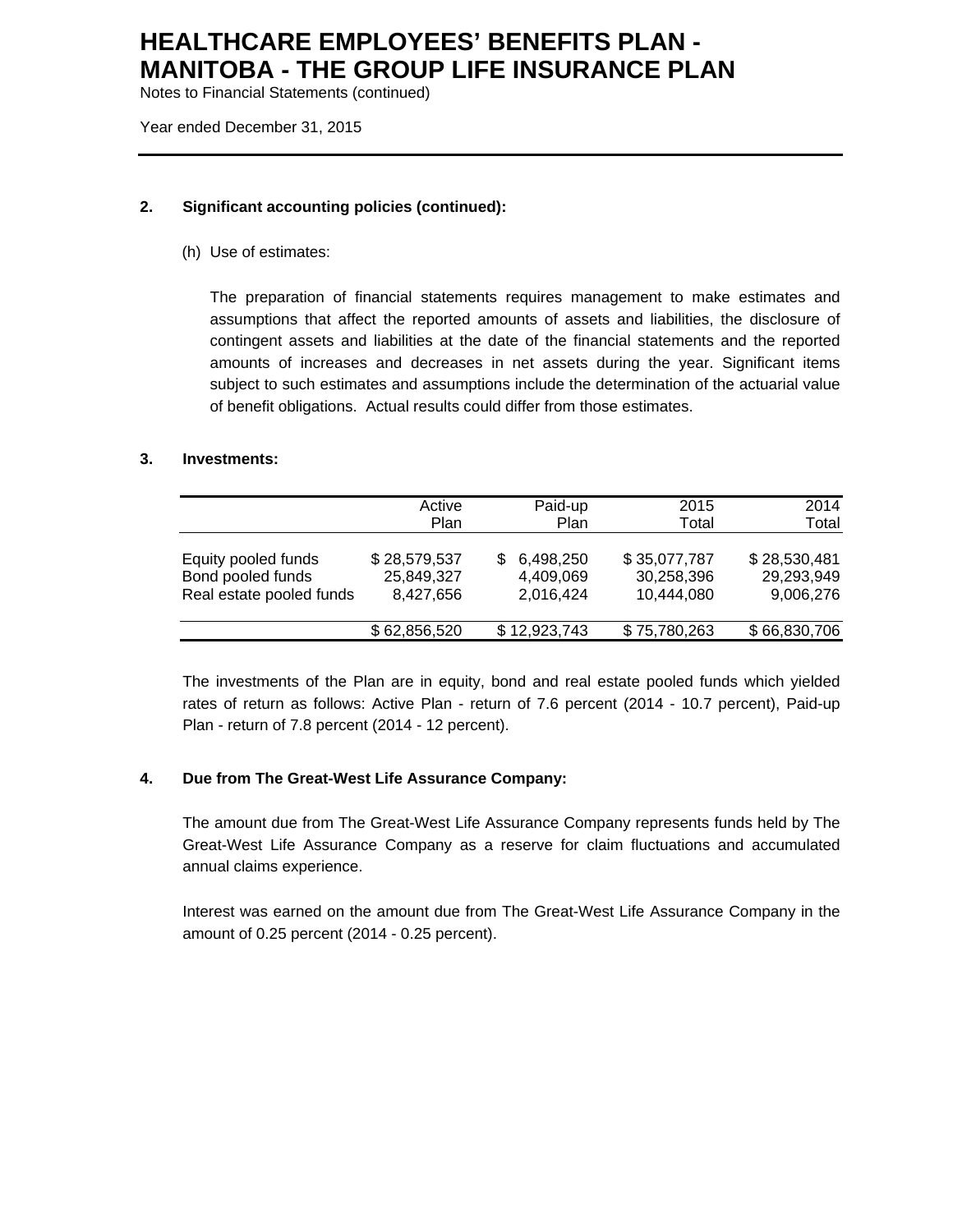Notes to Financial Statements (continued)

Year ended December 31, 2015

### **2. Significant accounting policies (continued):**

(h) Use of estimates:

The preparation of financial statements requires management to make estimates and assumptions that affect the reported amounts of assets and liabilities, the disclosure of contingent assets and liabilities at the date of the financial statements and the reported amounts of increases and decreases in net assets during the year. Significant items subject to such estimates and assumptions include the determination of the actuarial value of benefit obligations. Actual results could differ from those estimates.

### **3. Investments:**

|                                                                      | Active<br>Plan                          | Paid-up<br>Plan                           | 2015<br>Total                            | 2014<br>Total                           |
|----------------------------------------------------------------------|-----------------------------------------|-------------------------------------------|------------------------------------------|-----------------------------------------|
| Equity pooled funds<br>Bond pooled funds<br>Real estate pooled funds | \$28,579,537<br>25,849,327<br>8,427,656 | 6,498,250<br>S.<br>4,409,069<br>2,016,424 | \$35,077,787<br>30,258,396<br>10,444,080 | \$28,530,481<br>29,293,949<br>9,006,276 |
|                                                                      | \$62,856,520                            | \$12,923,743                              | \$75,780,263                             | \$66,830,706                            |

The investments of the Plan are in equity, bond and real estate pooled funds which yielded rates of return as follows: Active Plan - return of 7.6 percent (2014 - 10.7 percent), Paid-up Plan - return of 7.8 percent (2014 - 12 percent).

### **4. Due from The Great-West Life Assurance Company:**

The amount due from The Great-West Life Assurance Company represents funds held by The Great-West Life Assurance Company as a reserve for claim fluctuations and accumulated annual claims experience.

Interest was earned on the amount due from The Great-West Life Assurance Company in the amount of 0.25 percent (2014 - 0.25 percent).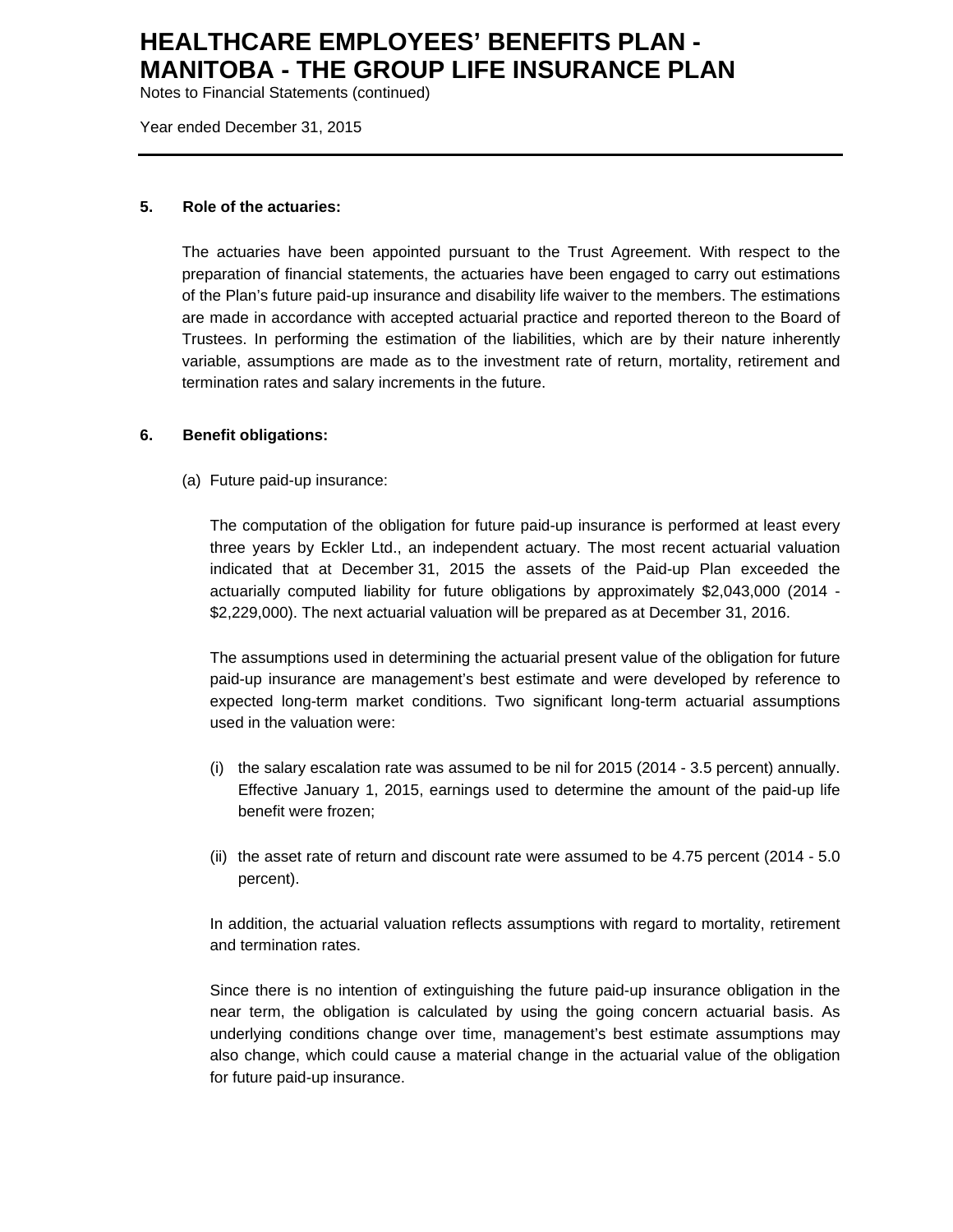Notes to Financial Statements (continued)

Year ended December 31, 2015

#### **5. Role of the actuaries:**

The actuaries have been appointed pursuant to the Trust Agreement. With respect to the preparation of financial statements, the actuaries have been engaged to carry out estimations of the Plan's future paid-up insurance and disability life waiver to the members. The estimations are made in accordance with accepted actuarial practice and reported thereon to the Board of Trustees. In performing the estimation of the liabilities, which are by their nature inherently variable, assumptions are made as to the investment rate of return, mortality, retirement and termination rates and salary increments in the future.

### **6. Benefit obligations:**

(a) Future paid-up insurance:

The computation of the obligation for future paid-up insurance is performed at least every three years by Eckler Ltd., an independent actuary. The most recent actuarial valuation indicated that at December 31, 2015 the assets of the Paid-up Plan exceeded the actuarially computed liability for future obligations by approximately \$2,043,000 (2014 - \$2,229,000). The next actuarial valuation will be prepared as at December 31, 2016.

The assumptions used in determining the actuarial present value of the obligation for future paid-up insurance are management's best estimate and were developed by reference to expected long-term market conditions. Two significant long-term actuarial assumptions used in the valuation were:

- (i) the salary escalation rate was assumed to be nil for 2015 (2014 3.5 percent) annually. Effective January 1, 2015, earnings used to determine the amount of the paid-up life benefit were frozen;
- (ii) the asset rate of return and discount rate were assumed to be 4.75 percent (2014 5.0 percent).

In addition, the actuarial valuation reflects assumptions with regard to mortality, retirement and termination rates.

Since there is no intention of extinguishing the future paid-up insurance obligation in the near term, the obligation is calculated by using the going concern actuarial basis. As underlying conditions change over time, management's best estimate assumptions may also change, which could cause a material change in the actuarial value of the obligation for future paid-up insurance.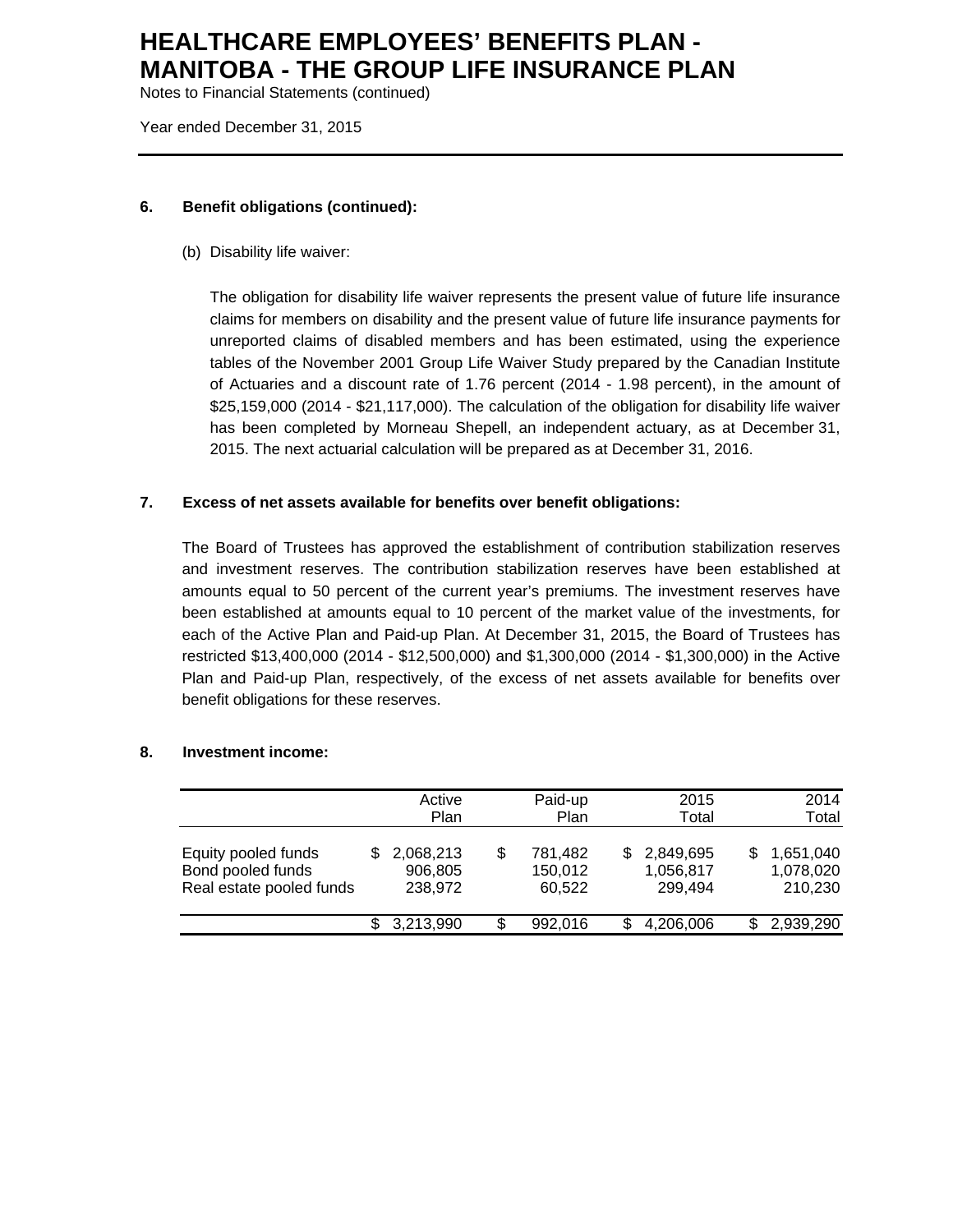Notes to Financial Statements (continued)

Year ended December 31, 2015

### **6. Benefit obligations (continued):**

(b) Disability life waiver:

The obligation for disability life waiver represents the present value of future life insurance claims for members on disability and the present value of future life insurance payments for unreported claims of disabled members and has been estimated, using the experience tables of the November 2001 Group Life Waiver Study prepared by the Canadian Institute of Actuaries and a discount rate of 1.76 percent (2014 - 1.98 percent), in the amount of \$25,159,000 (2014 - \$21,117,000). The calculation of the obligation for disability life waiver has been completed by Morneau Shepell, an independent actuary, as at December 31, 2015. The next actuarial calculation will be prepared as at December 31, 2016.

### **7. Excess of net assets available for benefits over benefit obligations:**

The Board of Trustees has approved the establishment of contribution stabilization reserves and investment reserves. The contribution stabilization reserves have been established at amounts equal to 50 percent of the current year's premiums. The investment reserves have been established at amounts equal to 10 percent of the market value of the investments, for each of the Active Plan and Paid-up Plan. At December 31, 2015, the Board of Trustees has restricted \$13,400,000 (2014 - \$12,500,000) and \$1,300,000 (2014 - \$1,300,000) in the Active Plan and Paid-up Plan, respectively, of the excess of net assets available for benefits over benefit obligations for these reserves.

|                                                                      |     | Active<br>Plan                  |   | Paid-up<br>Plan              |    | 2015<br>Total                     |   | 2014<br>Total                     |
|----------------------------------------------------------------------|-----|---------------------------------|---|------------------------------|----|-----------------------------------|---|-----------------------------------|
| Equity pooled funds<br>Bond pooled funds<br>Real estate pooled funds | S   | 2,068,213<br>906,805<br>238,972 | S | 781.482<br>150,012<br>60,522 | S. | 2,849,695<br>1,056,817<br>299,494 | S | 1,651,040<br>1,078,020<br>210,230 |
|                                                                      | SS. | 3,213,990                       | S | 992.016                      |    | 4,206,006                         |   | 2,939,290                         |

### **8. Investment income:**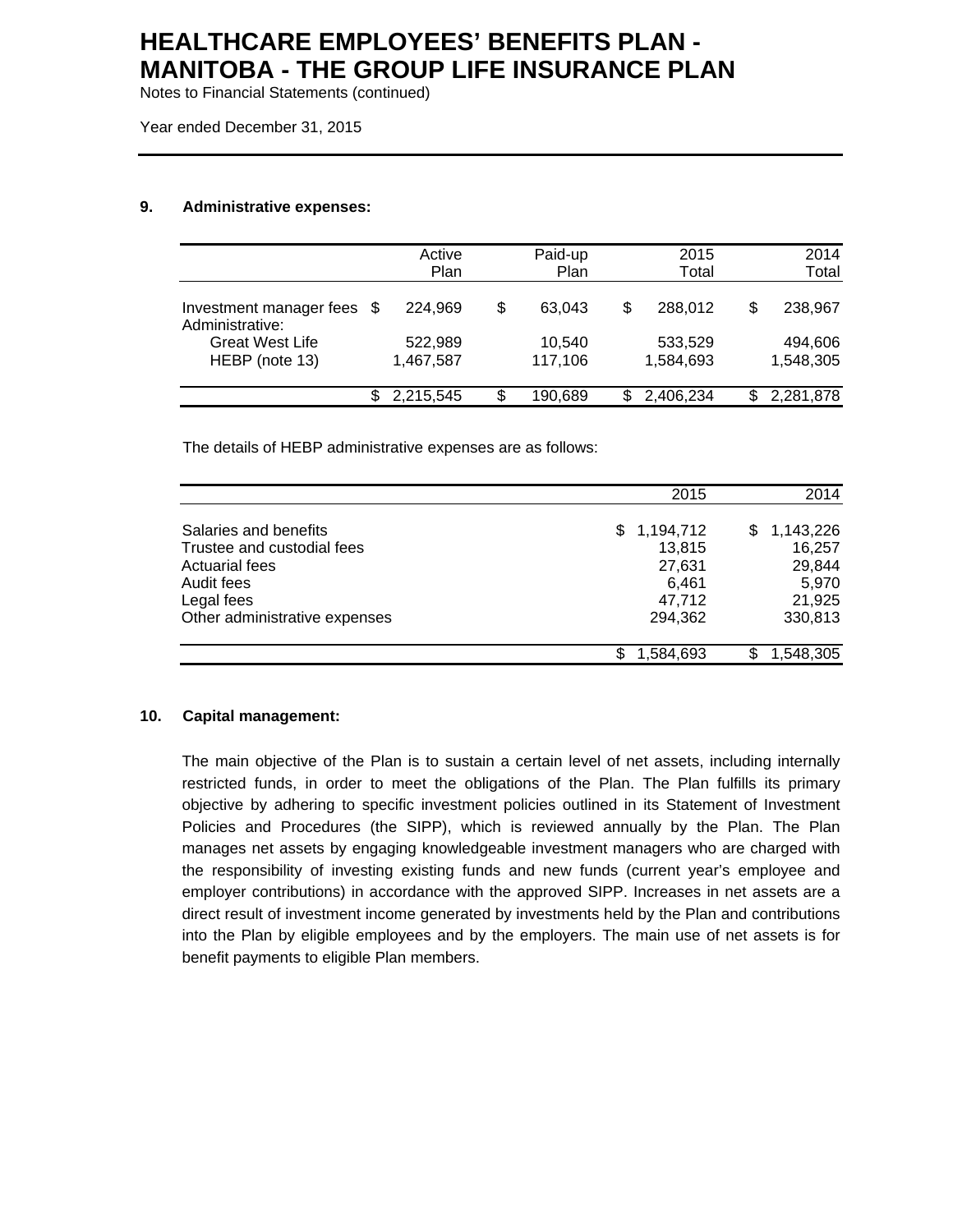Notes to Financial Statements (continued)

Year ended December 31, 2015

### **9. Administrative expenses:**

|                                               | Active<br>Plan       | Paid-up<br>Plan   |   | 2015<br>Total        |    | 2014<br>Total        |
|-----------------------------------------------|----------------------|-------------------|---|----------------------|----|----------------------|
| Investment manager fees \$<br>Administrative: | 224.969              | \$<br>63.043      | S | 288.012              | S  | 238.967              |
| <b>Great West Life</b><br>HEBP (note 13)      | 522,989<br>1,467,587 | 10,540<br>117,106 |   | 533,529<br>1,584,693 |    | 494,606<br>1,548,305 |
|                                               | 2,215,545            | \$<br>190.689     |   | 2,406,234            | \$ | 2,281,878            |

The details of HEBP administrative expenses are as follows:

|                               | 2015            | 2014            |
|-------------------------------|-----------------|-----------------|
|                               |                 |                 |
| Salaries and benefits         | 1,194,712<br>S. | 1,143,226<br>S. |
| Trustee and custodial fees    | 13,815          | 16,257          |
| <b>Actuarial fees</b>         | 27,631          | 29,844          |
| Audit fees                    | 6.461           | 5,970           |
| Legal fees                    | 47,712          | 21,925          |
| Other administrative expenses | 294,362         | 330,813         |
|                               | 1,584,693       | 1,548,305<br>S  |

#### **10. Capital management:**

The main objective of the Plan is to sustain a certain level of net assets, including internally restricted funds, in order to meet the obligations of the Plan. The Plan fulfills its primary objective by adhering to specific investment policies outlined in its Statement of Investment Policies and Procedures (the SIPP), which is reviewed annually by the Plan. The Plan manages net assets by engaging knowledgeable investment managers who are charged with the responsibility of investing existing funds and new funds (current year's employee and employer contributions) in accordance with the approved SIPP. Increases in net assets are a direct result of investment income generated by investments held by the Plan and contributions into the Plan by eligible employees and by the employers. The main use of net assets is for benefit payments to eligible Plan members.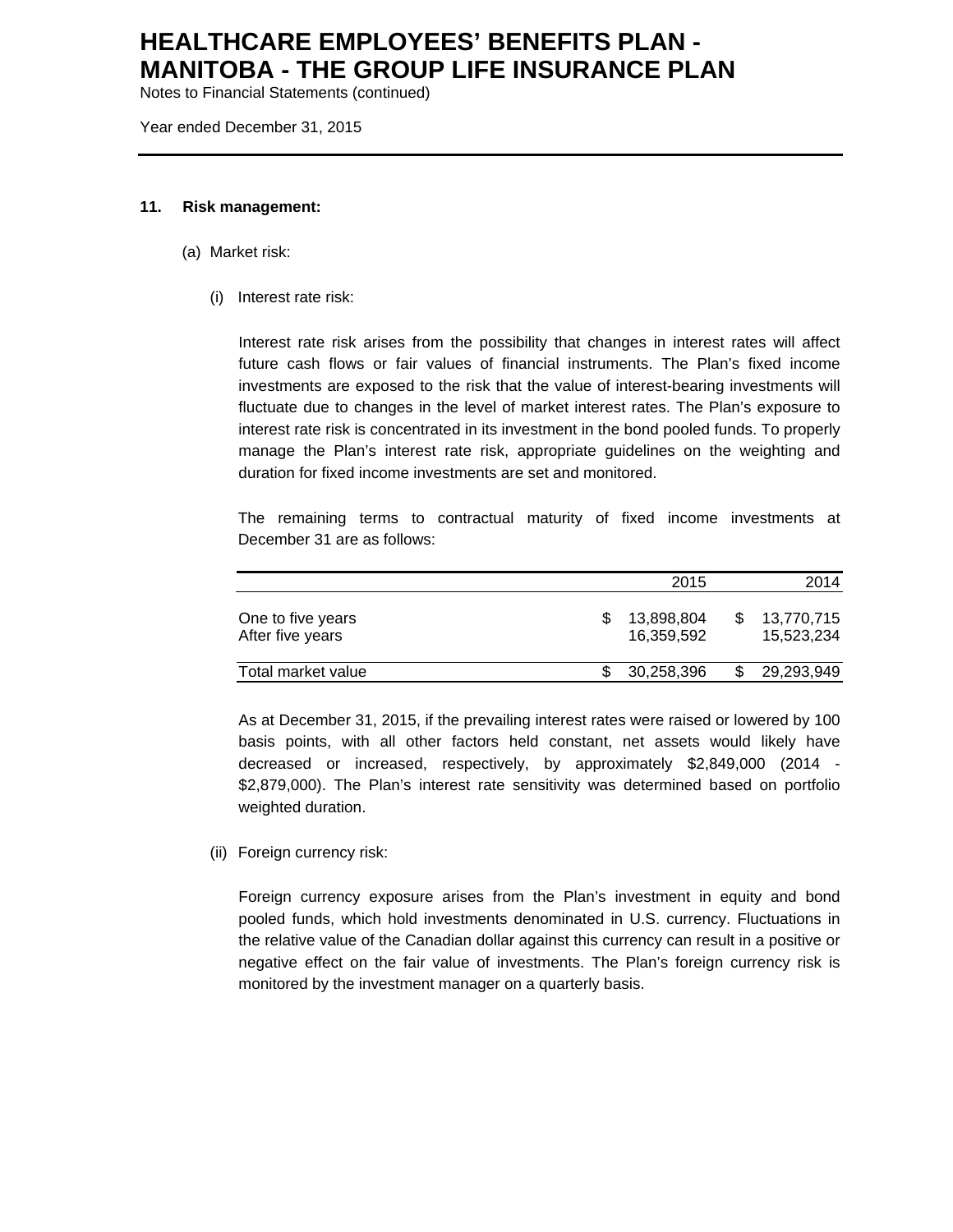Notes to Financial Statements (continued)

Year ended December 31, 2015

#### **11. Risk management:**

- (a) Market risk:
	- (i) Interest rate risk:

Interest rate risk arises from the possibility that changes in interest rates will affect future cash flows or fair values of financial instruments. The Plan's fixed income investments are exposed to the risk that the value of interest-bearing investments will fluctuate due to changes in the level of market interest rates. The Plan's exposure to interest rate risk is concentrated in its investment in the bond pooled funds. To properly manage the Plan's interest rate risk, appropriate guidelines on the weighting and duration for fixed income investments are set and monitored.

The remaining terms to contractual maturity of fixed income investments at December 31 are as follows:

|                                       | 2015                     | 2014                     |
|---------------------------------------|--------------------------|--------------------------|
| One to five years<br>After five years | 13,898,804<br>16.359.592 | 13,770,715<br>15.523.234 |
| Total market value                    | 30,258,396               | 29,293,949               |

As at December 31, 2015, if the prevailing interest rates were raised or lowered by 100 basis points, with all other factors held constant, net assets would likely have decreased or increased, respectively, by approximately \$2,849,000 (2014 - \$2,879,000). The Plan's interest rate sensitivity was determined based on portfolio weighted duration.

(ii) Foreign currency risk:

Foreign currency exposure arises from the Plan's investment in equity and bond pooled funds, which hold investments denominated in U.S. currency. Fluctuations in the relative value of the Canadian dollar against this currency can result in a positive or negative effect on the fair value of investments. The Plan's foreign currency risk is monitored by the investment manager on a quarterly basis.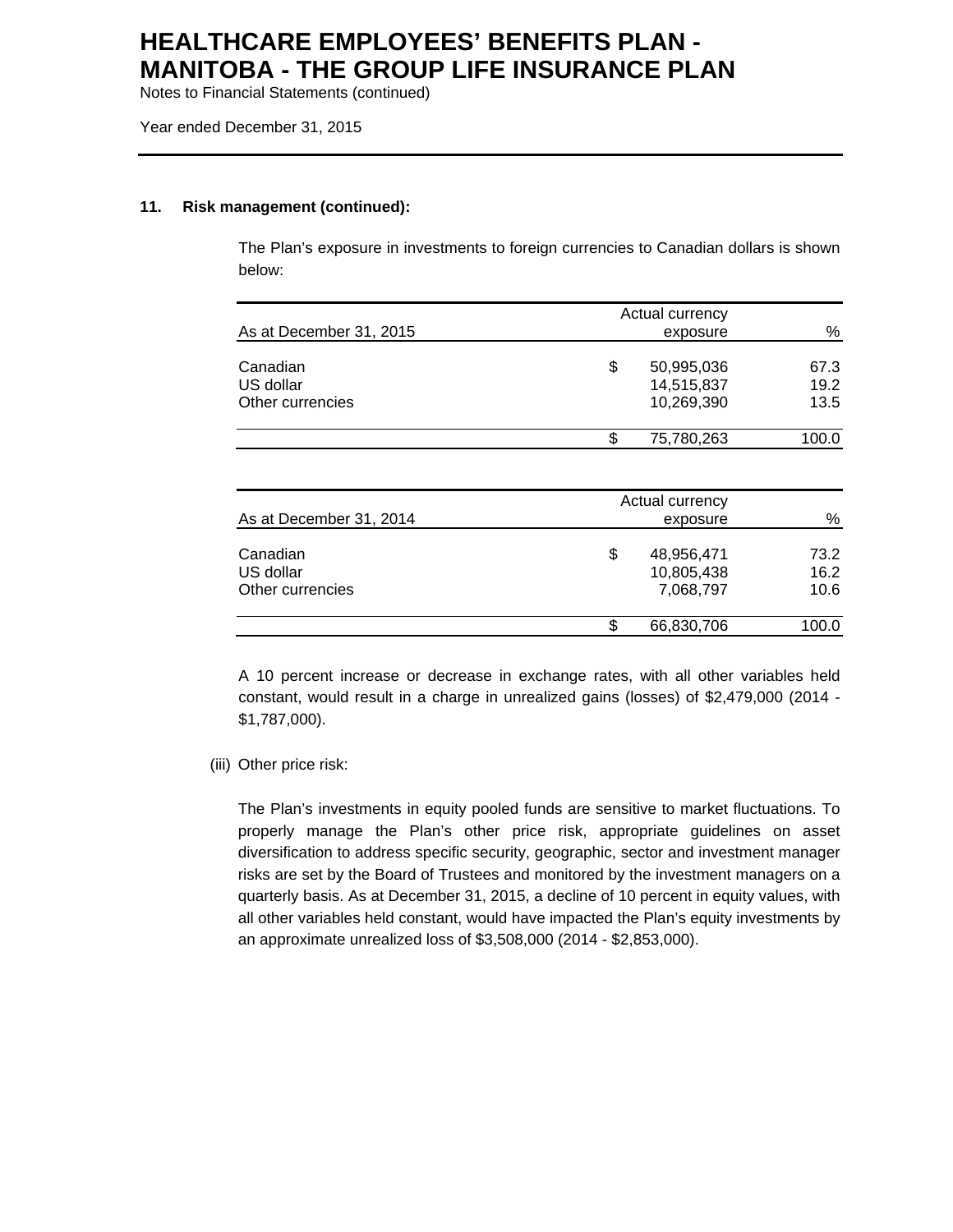Notes to Financial Statements (continued)

Year ended December 31, 2015

#### **11. Risk management (continued):**

The Plan's exposure in investments to foreign currencies to Canadian dollars is shown below:

|                         | Actual currency  |       |
|-------------------------|------------------|-------|
| As at December 31, 2015 | exposure         | %     |
|                         |                  |       |
| Canadian                | \$<br>50,995,036 | 67.3  |
| US dollar               | 14,515,837       | 19.2  |
| Other currencies        | 10,269,390       | 13.5  |
|                         | \$<br>75,780,263 | 100.0 |
|                         |                  |       |
|                         | Actual currency  |       |
| As at December 31, 2014 | exposure         | %     |
| Canadian                | \$<br>48,956,471 | 73.2  |
| US dollar               | 10,805,438       | 16.2  |
| Other currencies        | 7,068,797        | 10.6  |
|                         | \$<br>66,830,706 | 100.0 |

A 10 percent increase or decrease in exchange rates, with all other variables held constant, would result in a charge in unrealized gains (losses) of \$2,479,000 (2014 - \$1,787,000).

#### (iii) Other price risk:

The Plan's investments in equity pooled funds are sensitive to market fluctuations. To properly manage the Plan's other price risk, appropriate guidelines on asset diversification to address specific security, geographic, sector and investment manager risks are set by the Board of Trustees and monitored by the investment managers on a quarterly basis. As at December 31, 2015, a decline of 10 percent in equity values, with all other variables held constant, would have impacted the Plan's equity investments by an approximate unrealized loss of \$3,508,000 (2014 - \$2,853,000).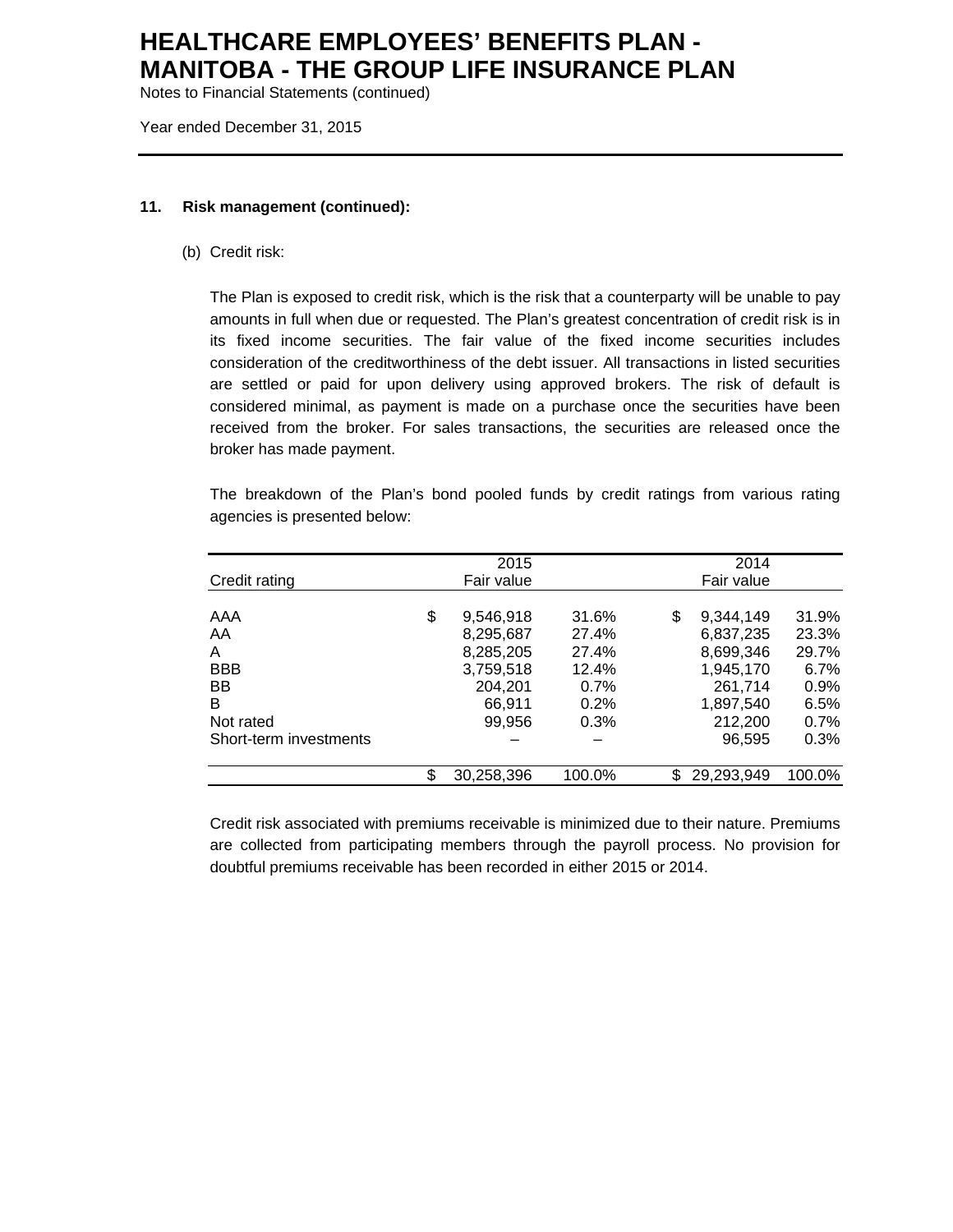Notes to Financial Statements (continued)

Year ended December 31, 2015

#### **11. Risk management (continued):**

(b) Credit risk:

The Plan is exposed to credit risk, which is the risk that a counterparty will be unable to pay amounts in full when due or requested. The Plan's greatest concentration of credit risk is in its fixed income securities. The fair value of the fixed income securities includes consideration of the creditworthiness of the debt issuer. All transactions in listed securities are settled or paid for upon delivery using approved brokers. The risk of default is considered minimal, as payment is made on a purchase once the securities have been received from the broker. For sales transactions, the securities are released once the broker has made payment.

The breakdown of the Plan's bond pooled funds by credit ratings from various rating agencies is presented below:

|                        | 2015             |        |     | 2014       |         |
|------------------------|------------------|--------|-----|------------|---------|
| Credit rating          | Fair value       |        |     | Fair value |         |
|                        |                  |        |     |            |         |
| AAA                    | \$<br>9,546,918  | 31.6%  | \$  | 9.344.149  | 31.9%   |
| AA                     | 8.295.687        | 27.4%  |     | 6.837.235  | 23.3%   |
| A                      | 8,285,205        | 27.4%  |     | 8,699,346  | 29.7%   |
| <b>BBB</b>             | 3,759,518        | 12.4%  |     | 1,945,170  | 6.7%    |
| <b>BB</b>              | 204.201          | 0.7%   |     | 261.714    | 0.9%    |
| B                      | 66,911           | 0.2%   |     | 1,897,540  | 6.5%    |
| Not rated              | 99.956           | 0.3%   |     | 212,200    | $0.7\%$ |
| Short-term investments |                  |        |     | 96.595     | 0.3%    |
|                        | \$<br>30,258,396 | 100.0% | \$. | 29,293,949 | 100.0%  |

Credit risk associated with premiums receivable is minimized due to their nature. Premiums are collected from participating members through the payroll process. No provision for doubtful premiums receivable has been recorded in either 2015 or 2014.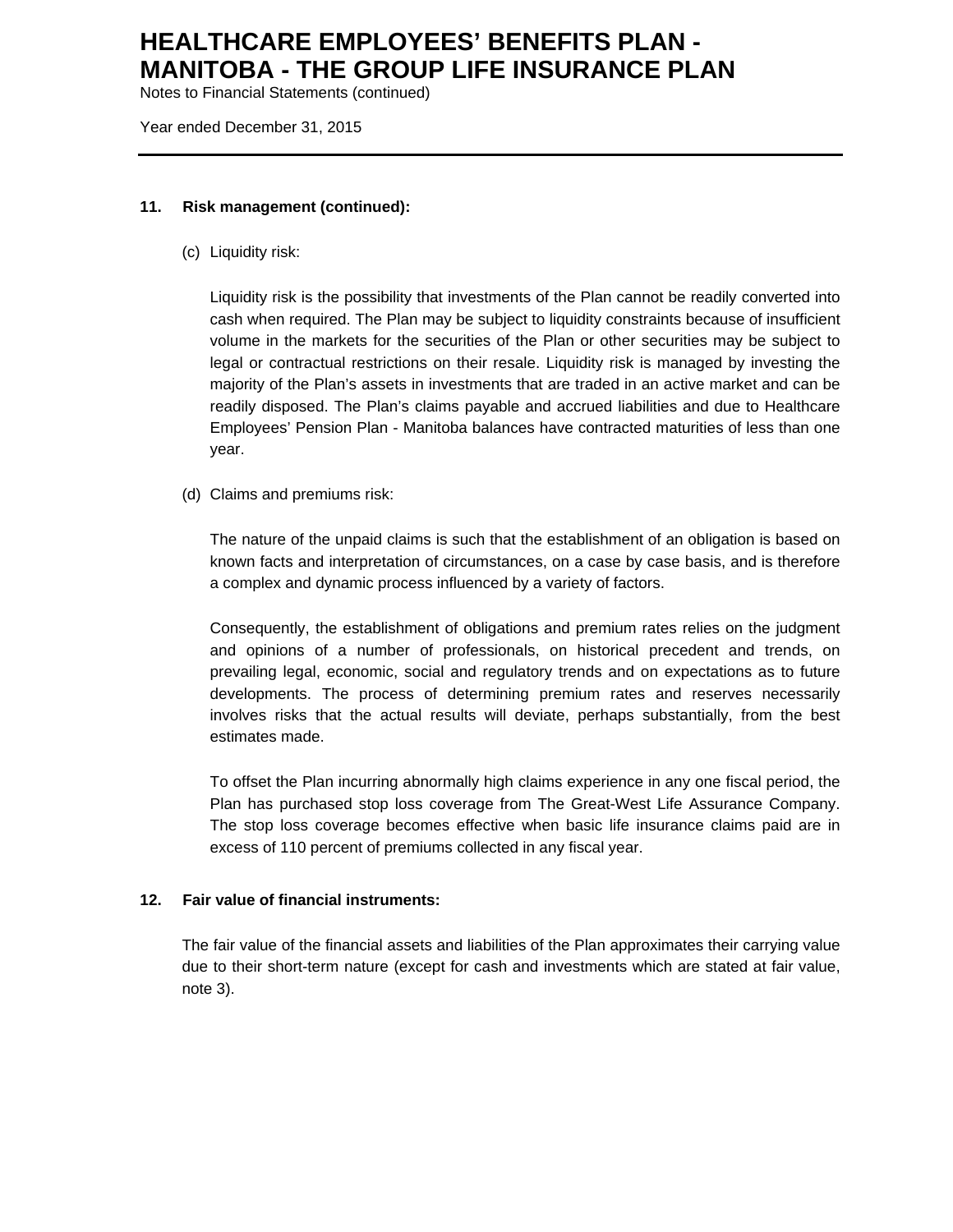Notes to Financial Statements (continued)

Year ended December 31, 2015

### **11. Risk management (continued):**

(c) Liquidity risk:

Liquidity risk is the possibility that investments of the Plan cannot be readily converted into cash when required. The Plan may be subject to liquidity constraints because of insufficient volume in the markets for the securities of the Plan or other securities may be subject to legal or contractual restrictions on their resale. Liquidity risk is managed by investing the majority of the Plan's assets in investments that are traded in an active market and can be readily disposed. The Plan's claims payable and accrued liabilities and due to Healthcare Employees' Pension Plan - Manitoba balances have contracted maturities of less than one year.

(d) Claims and premiums risk:

The nature of the unpaid claims is such that the establishment of an obligation is based on known facts and interpretation of circumstances, on a case by case basis, and is therefore a complex and dynamic process influenced by a variety of factors.

Consequently, the establishment of obligations and premium rates relies on the judgment and opinions of a number of professionals, on historical precedent and trends, on prevailing legal, economic, social and regulatory trends and on expectations as to future developments. The process of determining premium rates and reserves necessarily involves risks that the actual results will deviate, perhaps substantially, from the best estimates made.

To offset the Plan incurring abnormally high claims experience in any one fiscal period, the Plan has purchased stop loss coverage from The Great-West Life Assurance Company. The stop loss coverage becomes effective when basic life insurance claims paid are in excess of 110 percent of premiums collected in any fiscal year.

#### **12. Fair value of financial instruments:**

The fair value of the financial assets and liabilities of the Plan approximates their carrying value due to their short-term nature (except for cash and investments which are stated at fair value, note 3).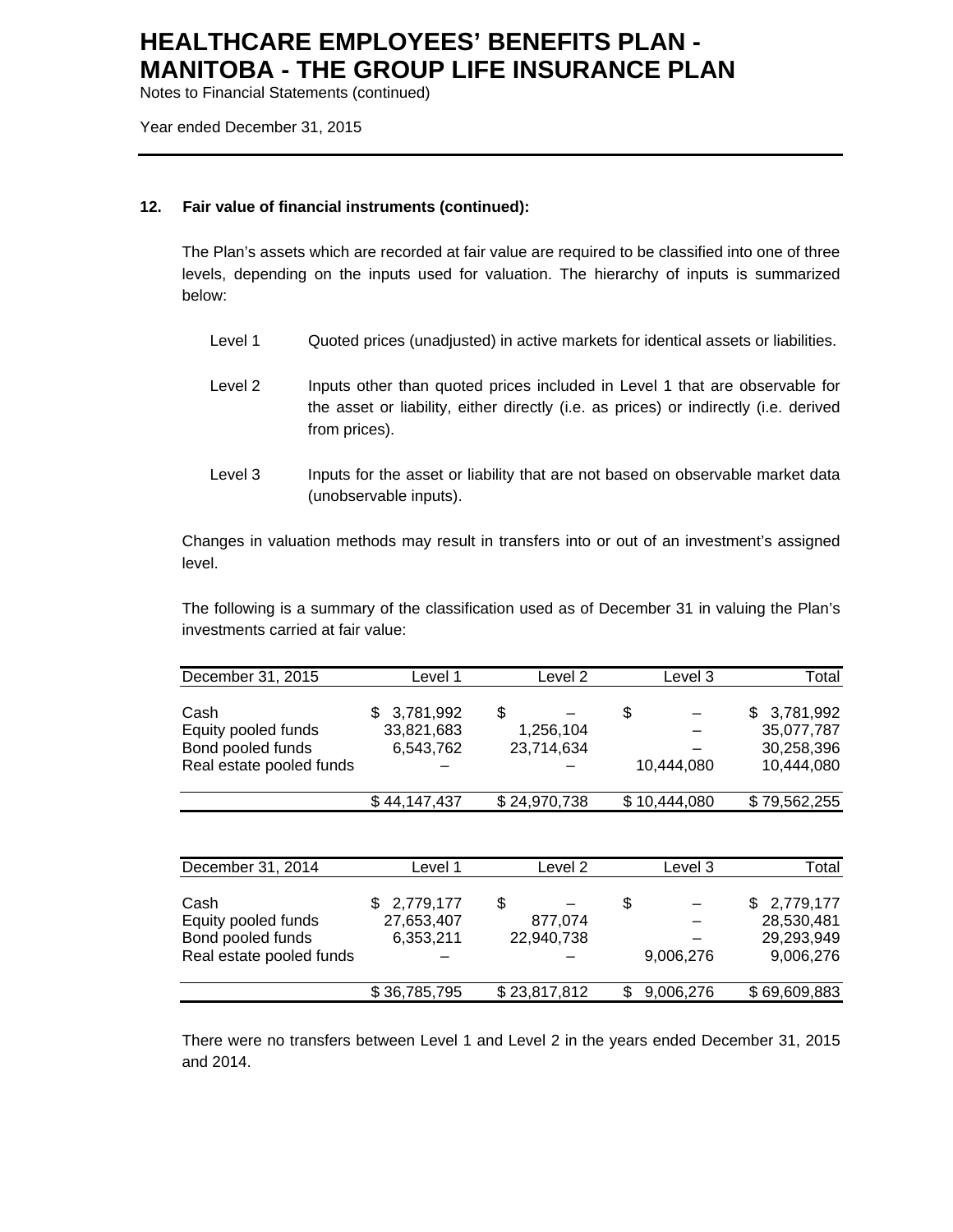Notes to Financial Statements (continued)

Year ended December 31, 2015

### **12. Fair value of financial instruments (continued):**

The Plan's assets which are recorded at fair value are required to be classified into one of three levels, depending on the inputs used for valuation. The hierarchy of inputs is summarized below:

- Level 1 Quoted prices (unadjusted) in active markets for identical assets or liabilities.
- Level 2 Inputs other than quoted prices included in Level 1 that are observable for the asset or liability, either directly (i.e. as prices) or indirectly (i.e. derived from prices).
- Level 3 Inputs for the asset or liability that are not based on observable market data (unobservable inputs).

Changes in valuation methods may result in transfers into or out of an investment's assigned level.

The following is a summary of the classification used as of December 31 in valuing the Plan's investments carried at fair value:

| December 31, 2015        | Level 1      | Level 2      | Level 3      | Total        |
|--------------------------|--------------|--------------|--------------|--------------|
| Cash                     | 3,781,992    | \$           | \$           | \$3,781,992  |
| Equity pooled funds      | 33,821,683   | 1,256,104    |              | 35,077,787   |
| Bond pooled funds        | 6,543,762    | 23,714,634   |              | 30,258,396   |
| Real estate pooled funds |              |              | 10,444,080   | 10,444,080   |
|                          | \$44,147,437 | \$24,970,738 | \$10,444,080 | \$79,562,255 |

| December 31, 2014        | Level 1      | Level 2      | Level 3   | Total        |
|--------------------------|--------------|--------------|-----------|--------------|
| Cash                     | 2,779,177    | \$           | \$        | \$2,779,177  |
| Equity pooled funds      | 27,653,407   | 877,074      |           | 28,530,481   |
| Bond pooled funds        | 6,353,211    | 22,940,738   |           | 29,293,949   |
| Real estate pooled funds |              |              | 9,006,276 | 9,006,276    |
|                          | \$36,785,795 | \$23,817,812 | 9,006,276 | \$69,609,883 |

There were no transfers between Level 1 and Level 2 in the years ended December 31, 2015 and 2014.